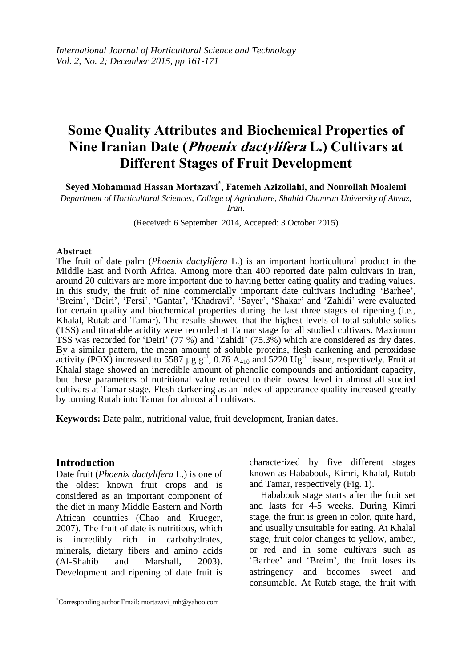# **Some Quality Attributes and Biochemical Properties of Nine Iranian Date (Phoenix dactylifera L.) Cultivars at Different Stages of Fruit Development**

**Seyed Mohammad Hassan Mortazavi\* , Fatemeh Azizollahi, and Nourollah Moalemi** 

*Department of Horticultural Sciences, College of Agriculture, Shahid Chamran University of Ahvaz, Iran*.

(Received: 6 September 2014, Accepted: 3 October 2015)

#### **Abstract**

The fruit of date palm (*Phoenix dactylifera* L.) is an important horticultural product in the Middle East and North Africa. Among more than 400 reported date palm cultivars in Iran, around 20 cultivars are more important due to having better eating quality and trading values. In this study, the fruit of nine commercially important date cultivars including 'Barhee', 'Breim', 'Deiri', 'Fersi', 'Gantar', 'Khadravi', 'Sayer', 'Shakar' and 'Zahidi' were evaluated for certain quality and biochemical properties during the last three stages of ripening (i.e., Khalal, Rutab and Tamar). The results showed that the highest levels of total soluble solids (TSS) and titratable acidity were recorded at Tamar stage for all studied cultivars. Maximum TSS was recorded for 'Deiri' (77 %) and 'Zahidi' (75.3%) which are considered as dry dates. By a similar pattern, the mean amount of soluble proteins, flesh darkening and peroxidase activity (POX) increased to 5587 µg  $g^{-1}$ , 0.76 A<sub>410</sub> and 5220 Ug<sup>-1</sup> tissue, respectively. Fruit at Khalal stage showed an incredible amount of phenolic compounds and antioxidant capacity, but these parameters of nutritional value reduced to their lowest level in almost all studied cultivars at Tamar stage. Flesh darkening as an index of appearance quality increased greatly by turning Rutab into Tamar for almost all cultivars.

**Keywords:** Date palm, nutritional value, fruit development, Iranian dates.

## **Introduction**

 $\overline{\phantom{a}}$ 

Date fruit (*Phoenix dactylifera* L.) is one of the oldest known fruit crops and is considered as an important component of the diet in many Middle Eastern and North African countries (Chao and Krueger, 2007). The fruit of date is nutritious, which is incredibly rich in carbohydrates, minerals, dietary fibers and amino acids (Al-Shahib and Marshall, 2003). Development and ripening of date fruit is

characterized by five different stages known as Hababouk, Kimri, Khalal, Rutab and Tamar, respectively (Fig. 1).

Hababouk stage starts after the fruit set and lasts for 4-5 weeks. During Kimri stage, the fruit is green in color, quite hard, and usually unsuitable for eating. At Khalal stage, fruit color changes to yellow, amber, or red and in some cultivars such as 'Barhee' and 'Breim', the fruit loses its astringency and becomes sweet and consumable. At Rutab stage, the fruit with

<sup>\*</sup>Corresponding author Email: mortazavi\_mh@yahoo.com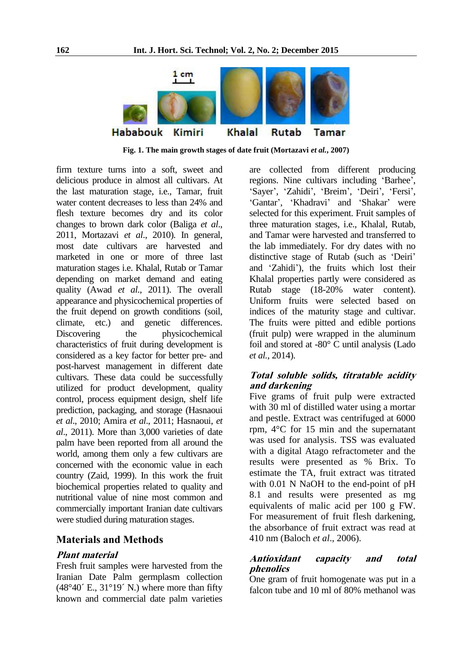

**Fig. 1. The main growth stages of date fruit (Mortazavi** *et al.***, 2007)**

firm texture turns into a soft, sweet and delicious produce in almost all cultivars. At the last maturation stage, i.e., Tamar, fruit water content decreases to less than 24% and flesh texture becomes dry and its color changes to brown dark color (Baliga *et al*., 2011, Mortazavi *et al*., 2010). In general, most date cultivars are harvested and marketed in one or more of three last maturation stages i.e. Khalal, Rutab or Tamar depending on market demand and eating quality (Awad *et al*., 2011). The overall appearance and physicochemical properties of the fruit depend on growth conditions (soil, climate, etc.) and genetic differences. Discovering the physicochemical characteristics of fruit during development is considered as a key factor for better pre- and post-harvest management in different date cultivars. These data could be successfully utilized for product development, quality control, process equipment design, shelf life prediction, packaging, and storage (Hasnaoui *et al*., 2010; Amira *et al*., 2011; Hasnaoui, *et al*., 2011). More than 3,000 varieties of date palm have been reported from all around the world, among them only a few cultivars are concerned with the economic value in each country (Zaid, 1999). In this work the fruit biochemical properties related to quality and nutritional value of nine most common and commercially important Iranian date cultivars were studied during maturation stages.

#### **Materials and Methods**

#### **Plant material**

Fresh fruit samples were harvested from the Iranian Date Palm germplasm collection  $(48°40°$  E.,  $31°19°$  N.) where more than fifty known and commercial date palm varieties

are collected from different producing regions. Nine cultivars including 'Barhee', 'Sayer', 'Zahidi', 'Breim', 'Deiri', 'Fersi', 'Gantar', 'Khadravi' and 'Shakar' were selected for this experiment. Fruit samples of three maturation stages, i.e., Khalal, Rutab, and Tamar were harvested and transferred to the lab immediately. For dry dates with no distinctive stage of Rutab (such as 'Deiri' and 'Zahidi'), the fruits which lost their Khalal properties partly were considered as Rutab stage (18-20% water content). Uniform fruits were selected based on indices of the maturity stage and cultivar. The fruits were pitted and edible portions (fruit pulp) were wrapped in the aluminum foil and stored at -80° C until analysis (Lado *et al.*, 2014).

# **Total soluble solids, titratable acidity and darkening**

Five grams of fruit pulp were extracted with 30 ml of distilled water using a mortar and pestle. Extract was centrifuged at 6000 rpm, 4°C for 15 min and the supernatant was used for analysis. TSS was evaluated with a digital Atago refractometer and the results were presented as % Brix. To estimate the TA, fruit extract was titrated with 0.01 N NaOH to the end-point of pH 8.1 and results were presented as mg equivalents of malic acid per 100 g FW. For measurement of fruit flesh darkening, the absorbance of fruit extract was read at 410 nm (Baloch *et al*., 2006).

## **Antioxidant capacity and total phenolics**

One gram of fruit homogenate was put in a falcon tube and 10 ml of 80% methanol was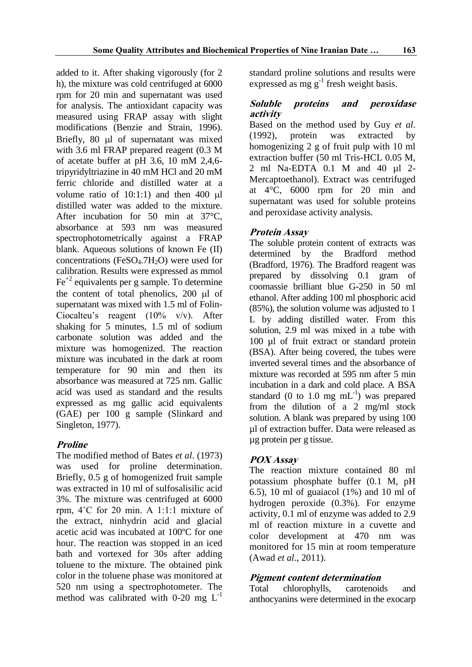added to it. After shaking vigorously (for 2 h), the mixture was cold centrifuged at 6000 rpm for 20 min and supernatant was used for analysis. The antioxidant capacity was measured using FRAP assay with slight modifications (Benzie and Strain, 1996). Briefly,  $80 \mu l$  of supernatant was mixed with 3.6 ml FRAP prepared reagent (0.3 M of acetate buffer at pH 3.6, 10 mM 2,4,6 tripyridyltriazine in 40 mM HCl and 20 mM ferric chloride and distilled water at a volume ratio of  $10:1:1$ ) and then  $400 \text{ µl}$ distilled water was added to the mixture. After incubation for 50 min at 37 °C. absorbance at 593 nm was measured spectrophotometrically against a FRAP blank. Aqueous solutions of known Fe (II) concentrations (FeSO $_4$ .7H<sub>2</sub>O) were used for calibration. Results were expressed as mmol  $Fe<sup>+2</sup>$  equivalents per g sample. To determine the content of total phenolics,  $200 \mu l$  of supernatant was mixed with 1.5 ml of Folin-Ciocalteu's reagent (10% v/v). After shaking for 5 minutes, 1.5 ml of sodium carbonate solution was added and the mixture was homogenized. The reaction mixture was incubated in the dark at room temperature for 90 min and then its absorbance was measured at 725 nm. Gallic acid was used as standard and the results expressed as mg gallic acid equivalents (GAE) per 100 g sample (Slinkard and Singleton, 1977).

# **Proline**

The modified method of Bates *et al*. (1973) was used for proline determination. Briefly, 0.5 g of homogenized fruit sample was extracted in 10 ml of sulfosalisilic acid 3%. The mixture was centrifuged at 6000 rpm, 4˚C for 20 min. A 1:1:1 mixture of the extract, ninhydrin acid and glacial acetic acid was incubated at 100ºC for one hour. The reaction was stopped in an iced bath and vortexed for 30s after adding toluene to the mixture. The obtained pink color in the toluene phase was monitored at 520 nm using a spectrophotometer. The method was calibrated with 0-20 mg  $L^{-1}$ 

standard proline solutions and results were expressed as mg  $g^{-1}$  fresh weight basis.

## **Soluble proteins and peroxidase activity**

Based on the method used by Guy *et al*. (1992), protein was extracted by homogenizing 2 g of fruit pulp with 10 ml extraction buffer (50 ml Tris-HCL 0.05 M, 2 ml Na-EDTA 0.1 M and 40 µl 2- Mercaptoethanol). Extract was centrifuged at 4°C, 6000 rpm for 20 min and supernatant was used for soluble proteins and peroxidase activity analysis.

# **Protein Assay**

The soluble protein content of extracts was determined by the Bradford method (Bradford, 1976). The Bradford reagent was prepared by dissolving 0.1 gram of coomassie brilliant blue G-250 in 50 ml ethanol. After adding 100 ml phosphoric acid (85%), the solution volume was adjusted to 1 L by adding distilled water. From this solution, 2.9 ml was mixed in a tube with 100 µl of fruit extract or standard protein (BSA). After being covered, the tubes were inverted several times and the absorbance of mixture was recorded at 595 nm after 5 min incubation in a dark and cold place. A BSA standard (0 to 1.0 mg  $mL^{-1}$ ) was prepared from the dilution of a 2 mg/ml stock solution. A blank was prepared by using 100 µl of extraction buffer. Data were released as µg protein per g tissue.

# **POX Assay**

The reaction mixture contained 80 ml potassium phosphate buffer (0.1 M, pH 6.5), 10 ml of guaiacol (1%) and 10 ml of hydrogen peroxide (0.3%). For enzyme activity, 0.1 ml of enzyme was added to 2.9 ml of reaction mixture in a cuvette and color development at 470 nm was monitored for 15 min at room temperature (Awad *et al*., 2011).

# **Pigment content determination**

Total chlorophylls, carotenoids and anthocyanins were determined in the exocarp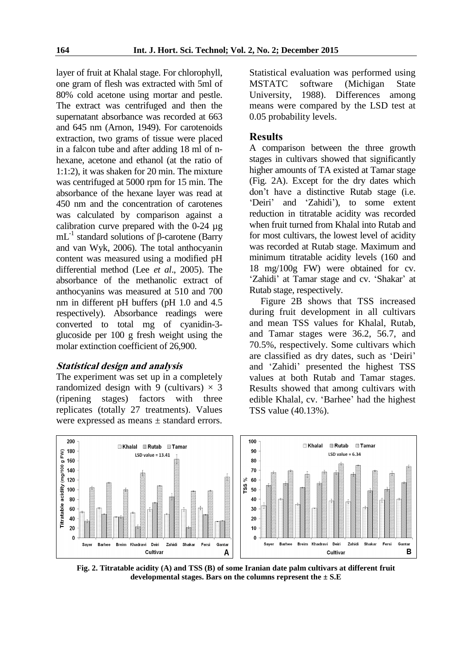layer of fruit at Khalal stage. For chlorophyll, one gram of flesh was extracted with 5ml of 80% cold acetone using mortar and pestle. The extract was centrifuged and then the supernatant absorbance was recorded at 663 and 645 nm (Arnon, 1949). For carotenoids extraction, two grams of tissue were placed in a falcon tube and after adding 18 ml of nhexane, acetone and ethanol (at the ratio of 1:1:2), it was shaken for 20 min. The mixture was centrifuged at 5000 rpm for 15 min. The absorbance of the hexane layer was read at 450 nm and the concentration of carotenes was calculated by comparison against a calibration curve prepared with the 0-24 µg mL<sup>-1</sup> standard solutions of β-carotene (Barry and van Wyk, 2006). The total anthocyanin content was measured using a modified pH differential method (Lee *et al*., 2005). The absorbance of the methanolic extract of anthocyanins was measured at 510 and 700 nm in different pH buffers (pH 1.0 and 4.5 respectively). Absorbance readings were converted to total mg of cyanidin-3 glucoside per 100 g fresh weight using the molar extinction coefficient of 26,900.

#### **Statistical design and analysis**

The experiment was set up in a completely randomized design with 9 (cultivars)  $\times$  3 (ripening stages) factors with three replicates (totally 27 treatments). Values were expressed as means ± standard errors. Statistical evaluation was performed using MSTATC software (Michigan State University, 1988). Differences among means were compared by the LSD test at 0.05 probability levels.

#### **Results**

A comparison between the three growth stages in cultivars showed that significantly higher amounts of TA existed at Tamar stage (Fig. 2A). Except for the dry dates which don't have a distinctive Rutab stage (i.e. 'Deiri' and 'Zahidi'), to some extent reduction in titratable acidity was recorded when fruit turned from Khalal into Rutab and for most cultivars, the lowest level of acidity was recorded at Rutab stage. Maximum and minimum titratable acidity levels (160 and 18 mg/100g FW) were obtained for cv. 'Zahidi' at Tamar stage and cv. 'Shakar' at Rutab stage, respectively.

Figure 2B shows that TSS increased during fruit development in all cultivars and mean TSS values for Khalal, Rutab, and Tamar stages were 36.2, 56.7, and 70.5%, respectively. Some cultivars which are classified as dry dates, such as 'Deiri' and 'Zahidi' presented the highest TSS values at both Rutab and Tamar stages. Results showed that among cultivars with edible Khalal, cv. 'Barhee' had the highest TSS value (40.13%).



**Fig. 2. Titratable acidity (A) and TSS (B) of some Iranian date palm cultivars at different fruit developmental stages. Bars on the columns represent the ± S.E**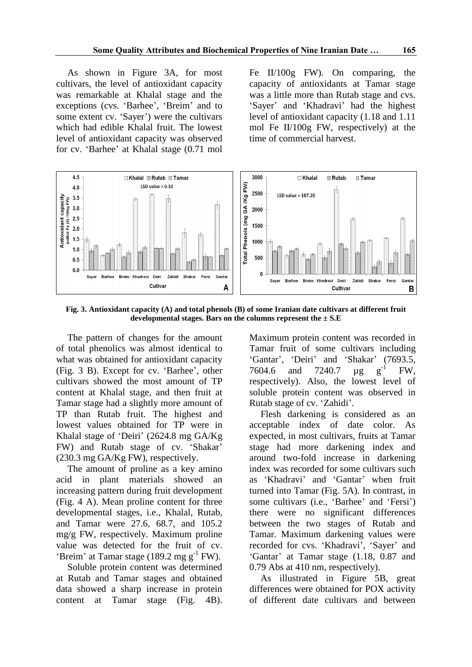As shown in Figure 3A, for most cultivars, the level of antioxidant capacity was remarkable at Khalal stage and the exceptions (cvs. 'Barhee', 'Breim' and to some extent cv. 'Sayer') were the cultivars which had edible Khalal fruit. The lowest level of antioxidant capacity was observed for cv. 'Barhee' at Khalal stage (0.71 mol Fe II/100g FW). On comparing, the capacity of antioxidants at Tamar stage was a little more than Rutab stage and cvs. 'Sayer' and 'Khadravi' had the highest level of antioxidant capacity (1.18 and 1.11 mol Fe II/100g FW, respectively) at the time of commercial harvest.



**Fig. 3. Antioxidant capacity (A) and total phenols (B) of some Iranian date cultivars at different fruit developmental stages. Bars on the columns represent the ± S.E**

The pattern of changes for the amount of total phenolics was almost identical to what was obtained for antioxidant capacity (Fig. 3 B). Except for cv. 'Barhee', other cultivars showed the most amount of TP content at Khalal stage, and then fruit at Tamar stage had a slightly more amount of TP than Rutab fruit. The highest and lowest values obtained for TP were in Khalal stage of 'Deiri' (2624.8 mg GA/Kg FW) and Rutab stage of cv. 'Shakar' (230.3 mg GA/Kg FW), respectively.

The amount of proline as a key amino acid in plant materials showed an increasing pattern during fruit development (Fig. 4 A). Mean proline content for three developmental stages, i.e., Khalal, Rutab, and Tamar were 27.6, 68.7, and 105.2 mg/g FW, respectively. Maximum proline value was detected for the fruit of cv. 'Breim' at Tamar stage  $(189.2 \text{ mg g}^{-1} \text{ FW})$ .

Soluble protein content was determined at Rutab and Tamar stages and obtained data showed a sharp increase in protein content at Tamar stage (Fig. 4B). Maximum protein content was recorded in Tamar fruit of some cultivars including 'Gantar', 'Deiri' and 'Shakar' (7693.5, 7604.6 and 7240.7 µg g  $g^{-1}$ FW, respectively). Also, the lowest level of soluble protein content was observed in Rutab stage of cv. 'Zahidi'.

Flesh darkening is considered as an acceptable index of date color. As expected, in most cultivars, fruits at Tamar stage had more darkening index and around two-fold increase in darkening index was recorded for some cultivars such as 'Khadravi' and 'Gantar' when fruit turned into Tamar (Fig. 5A). In contrast, in some cultivars (i.e., 'Barhee' and 'Fersi') there were no significant differences between the two stages of Rutab and Tamar. Maximum darkening values were recorded for cvs. 'Khadravi', 'Sayer' and 'Gantar' at Tamar stage (1.18, 0.87 and 0.79 Abs at 410 nm, respectively).

As illustrated in Figure 5B, great differences were obtained for POX activity of different date cultivars and between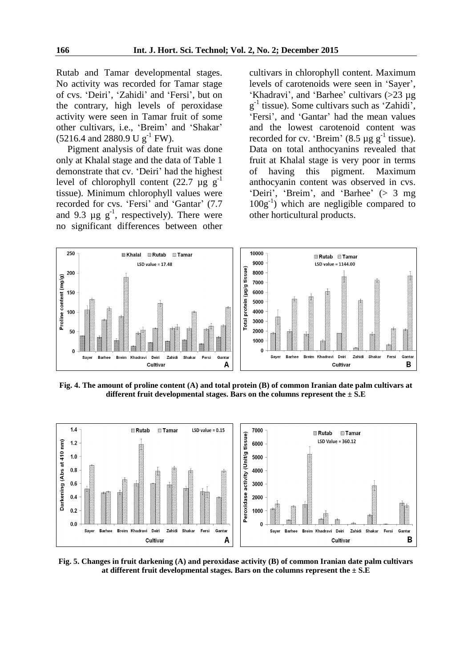Rutab and Tamar developmental stages. No activity was recorded for Tamar stage of cvs. 'Deiri', 'Zahidi' and 'Fersi', but on the contrary, high levels of peroxidase activity were seen in Tamar fruit of some other cultivars, i.e., 'Breim' and 'Shakar'  $(5216.4 \text{ and } 2880.9 \text{ U g}^{-1} \text{ FW}).$ 

Pigment analysis of date fruit was done only at Khalal stage and the data of Table 1 demonstrate that cv. 'Deiri' had the highest level of chlorophyll content (22.7  $\mu$ g g<sup>-1</sup> tissue). Minimum chlorophyll values were recorded for cvs. 'Fersi' and 'Gantar' (7.7 and 9.3  $\mu$ g  $g^{-1}$ , respectively). There were no significant differences between other

cultivars in chlorophyll content. Maximum levels of carotenoids were seen in 'Sayer', 'Khadravi', and 'Barhee' cultivars (>23 µg g -1 tissue). Some cultivars such as 'Zahidi', 'Fersi', and 'Gantar' had the mean values and the lowest carotenoid content was recorded for cv. 'Breim' (8.5  $\mu$ g g<sup>-1</sup> tissue). Data on total anthocyanins revealed that fruit at Khalal stage is very poor in terms of having this pigment. Maximum anthocyanin content was observed in cvs. 'Deiri', 'Breim', and 'Barhee' (> 3 mg 100g-1 ) which are negligible compared to other horticultural products.



**Fig. 4. The amount of proline content (A) and total protein (B) of common Iranian date palm cultivars at different fruit developmental stages. Bars on the columns represent the ± S.E**



**Fig. 5. Changes in fruit darkening (A) and peroxidase activity (B) of common Iranian date palm cultivars at different fruit developmental stages. Bars on the columns represent the ± S.E**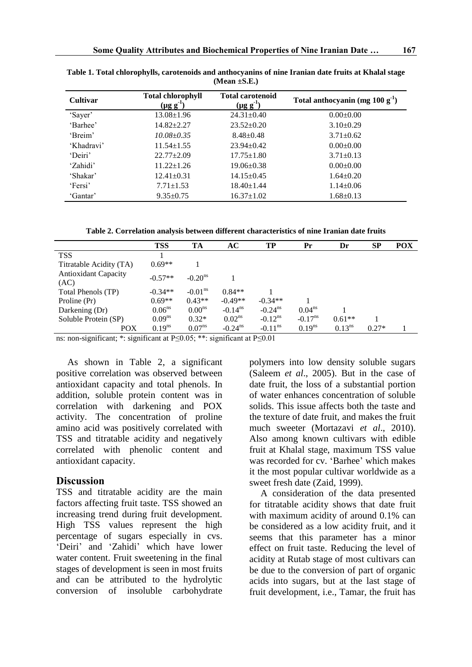| <b>Cultivar</b> | <b>Total chlorophyll</b><br>$(\mu g g^{-1})$ | <b>Total carotenoid</b><br>$(\mu g g^{-1})$ | Total anthocyanin (mg $100 g-1$ ) |  |  |
|-----------------|----------------------------------------------|---------------------------------------------|-----------------------------------|--|--|
| 'Sayer'         | $13.08 \pm 1.96$                             | $24.31 \pm 0.40$                            | $0.00 \pm 0.00$                   |  |  |
| 'Barhee'        | $14.82 \pm 2.27$                             | $23.52 \pm 0.20$                            | $3.10\pm0.29$                     |  |  |
| 'Breim'         | $10.08 \pm 0.35$                             | $8.48 \pm 0.48$                             | $3.71 \pm 0.62$                   |  |  |
| 'Khadravi'      | $11.54 \pm 1.55$                             | $23.94 \pm 0.42$                            | $0.00 \pm 0.00$                   |  |  |
| 'Deiri'         | $22.77 \pm 2.09$                             | $17.75 \pm 1.80$                            | $3.71 \pm 0.13$                   |  |  |
| 'Zahidi'        | $11.22 \pm 1.26$                             | $19.06 \pm 0.38$                            | $0.00 \pm 0.00$                   |  |  |
| 'Shakar'        | $12.41 \pm 0.31$                             | $14.15 \pm 0.45$                            | $1.64 \pm 0.20$                   |  |  |
| 'Fersi'         | $7.71 \pm 1.53$                              | $18.40 \pm 1.44$                            | $1.14 \pm 0.06$                   |  |  |
| 'Gantar'        | $9.35 \pm 0.75$                              | $16.37 \pm 1.02$                            | $1.68 \pm 0.13$                   |  |  |

**Table 1. Total chlorophylls, carotenoids and anthocyanins of nine Iranian date fruits at Khalal stage (Mean ±S.E.)**

**Table 2. Correlation analysis between different characteristics of nine Iranian date fruits** 

|                                     | <b>TSS</b>         | TA                  | AC                    | TP                    | Pr                  | Dr          | <b>SP</b> | <b>POX</b> |
|-------------------------------------|--------------------|---------------------|-----------------------|-----------------------|---------------------|-------------|-----------|------------|
| <b>TSS</b>                          |                    |                     |                       |                       |                     |             |           |            |
| Titratable Acidity (TA)             | $0.69**$           |                     |                       |                       |                     |             |           |            |
| <b>Antioxidant Capacity</b><br>(AC) | $-0.57**$          | $-0.20^{\text{ns}}$ |                       |                       |                     |             |           |            |
| Total Phenols (TP)                  | $-0.34**$          | $-0.01ns$           | $0.84**$              |                       |                     |             |           |            |
| Proline (Pr)                        | $0.69**$           | $0.43**$            | $-0.49**$             | $-0.34**$             |                     |             |           |            |
| Darkening (Dr)                      | 0.06 <sup>ns</sup> | 0.00 <sup>ns</sup>  | $-0.14$ <sup>ns</sup> | $-0.24$ <sup>ns</sup> | $0.04^{ns}$         |             |           |            |
| Soluble Protein (SP)                | $0.09^{ns}$        | $0.32*$             | 0.02 <sup>ns</sup>    | $-0.12$ <sup>ns</sup> | $-0.17^{\text{ns}}$ | $0.61**$    |           |            |
| POX                                 | $0.19^{ns}$        | $0.07^{\text{ns}}$  | $-0.24$ <sup>ns</sup> | $-0.11$ <sup>ns</sup> | $0.19^{ns}$         | $0.13^{ns}$ | $0.27*$   |            |

ns: non-significant; \*: significant at P≤0.05; \*\*: significant at P≤0.01

As shown in Table 2, a significant positive correlation was observed between antioxidant capacity and total phenols. In addition, soluble protein content was in correlation with darkening and POX activity. The concentration of proline amino acid was positively correlated with TSS and titratable acidity and negatively correlated with phenolic content and antioxidant capacity.

# **Discussion**

TSS and titratable acidity are the main factors affecting fruit taste. TSS showed an increasing trend during fruit development. High TSS values represent the high percentage of sugars especially in cvs. 'Deiri' and 'Zahidi' which have lower water content. Fruit sweetening in the final stages of development is seen in most fruits and can be attributed to the hydrolytic conversion of insoluble carbohydrate

polymers into low density soluble sugars (Saleem *et al*., 2005). But in the case of date fruit, the loss of a substantial portion of water enhances concentration of soluble solids. This issue affects both the taste and the texture of date fruit, and makes the fruit much sweeter (Mortazavi *et al*., 2010). Also among known cultivars with edible fruit at Khalal stage, maximum TSS value was recorded for cv. 'Barhee' which makes it the most popular cultivar worldwide as a sweet fresh date (Zaid, 1999).

A consideration of the data presented for titratable acidity shows that date fruit with maximum acidity of around 0.1% can be considered as a low acidity fruit, and it seems that this parameter has a minor effect on fruit taste. Reducing the level of acidity at Rutab stage of most cultivars can be due to the conversion of part of organic acids into sugars, but at the last stage of fruit development, i.e., Tamar, the fruit has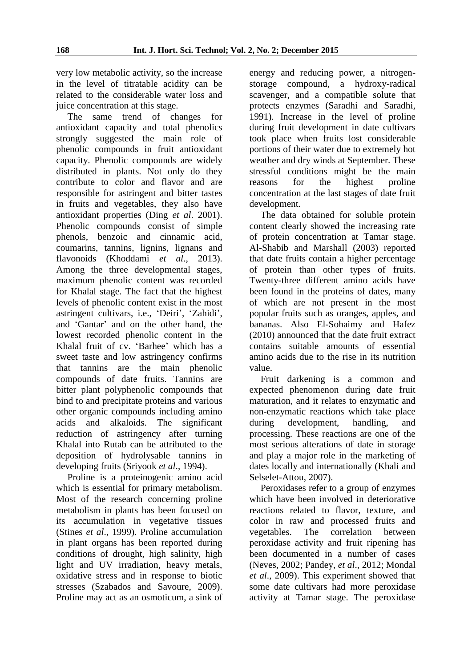very low metabolic activity, so the increase in the level of titratable acidity can be related to the considerable water loss and juice concentration at this stage.

The same trend of changes for antioxidant capacity and total phenolics strongly suggested the main role of phenolic compounds in fruit antioxidant capacity. Phenolic compounds are widely distributed in plants. Not only do they contribute to color and flavor and are responsible for astringent and bitter tastes in fruits and vegetables, they also have antioxidant properties (Ding *et al*. 2001). Phenolic compounds consist of simple phenols, benzoic and cinnamic acid, coumarins, tannins, lignins, lignans and flavonoids (Khoddami *et al*., 2013). Among the three developmental stages, maximum phenolic content was recorded for Khalal stage. The fact that the highest levels of phenolic content exist in the most astringent cultivars, i.e., 'Deiri', 'Zahidi', and 'Gantar' and on the other hand, the lowest recorded phenolic content in the Khalal fruit of cv. 'Barhee' which has a sweet taste and low astringency confirms that tannins are the main phenolic compounds of date fruits. Tannins are bitter plant polyphenolic compounds that bind to and precipitate proteins and various other organic compounds including amino acids and alkaloids. The significant reduction of astringency after turning Khalal into Rutab can be attributed to the deposition of hydrolysable tannins in developing fruits (Sriyook *et al*., 1994).

Proline is a proteinogenic amino acid which is essential for primary metabolism. Most of the research concerning proline metabolism in plants has been focused on its accumulation in vegetative tissues (Stines *et al*., 1999). Proline accumulation in plant organs has been reported during conditions of drought, high salinity, high light and UV irradiation, heavy metals, oxidative stress and in response to biotic stresses (Szabados and Savoure, 2009). Proline may act as an osmoticum, a sink of

energy and reducing power, a nitrogenstorage compound, a hydroxy-radical scavenger, and a compatible solute that protects enzymes (Saradhi and Saradhi, 1991). Increase in the level of proline during fruit development in date cultivars took place when fruits lost considerable portions of their water due to extremely hot weather and dry winds at September. These stressful conditions might be the main reasons for the highest proline concentration at the last stages of date fruit development.

The data obtained for soluble protein content clearly showed the increasing rate of protein concentration at Tamar stage. Al-Shabib and Marshall (2003) reported that date fruits contain a higher percentage of protein than other types of fruits. Twenty-three different amino acids have been found in the proteins of dates, many of which are not present in the most popular fruits such as oranges, apples, and bananas. Also El-Sohaimy and Hafez (2010) announced that the date fruit extract contains suitable amounts of essential amino acids due to the rise in its nutrition value.

Fruit darkening is a common and expected phenomenon during date fruit maturation, and it relates to enzymatic and non-enzymatic reactions which take place during development, handling, and processing. These reactions are one of the most serious alterations of date in storage and play a major role in the marketing of dates locally and internationally (Khali and Selselet-Attou, 2007).

Peroxidases refer to a group of enzymes which have been involved in deteriorative reactions related to flavor, texture, and color in raw and processed fruits and vegetables. The correlation between peroxidase activity and fruit ripening has been documented in a number of cases (Neves, 2002; Pandey, *et al*., 2012; Mondal *et al*., 2009). This experiment showed that some date cultivars had more peroxidase activity at Tamar stage. The peroxidase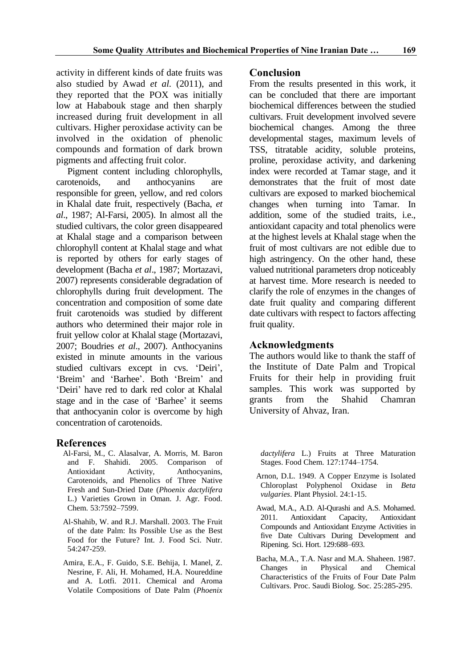activity in different kinds of date fruits was also studied by Awad *et al.* (2011), and they reported that the POX was initially low at Hababouk stage and then sharply increased during fruit development in all cultivars. Higher peroxidase activity can be involved in the oxidation of phenolic compounds and formation of dark brown pigments and affecting fruit color.

Pigment content including chlorophylls, carotenoids, and anthocyanins are responsible for green, yellow, and red colors in Khalal date fruit, respectively (Bacha, *et al*., 1987; Al-Farsi, 2005). In almost all the studied cultivars, the color green disappeared at Khalal stage and a comparison between chlorophyll content at Khalal stage and what is reported by others for early stages of development (Bacha *et al*., 1987; Mortazavi, 2007) represents considerable degradation of chlorophylls during fruit development. The concentration and composition of some date fruit carotenoids was studied by different authors who determined their major role in fruit yellow color at Khalal stage (Mortazavi, 2007; Boudries *et al*., 2007). Anthocyanins existed in minute amounts in the various studied cultivars except in cvs. 'Deiri', 'Breim' and 'Barhee'. Both 'Breim' and 'Deiri' have red to dark red color at Khalal stage and in the case of 'Barhee' it seems that anthocyanin color is overcome by high concentration of carotenoids.

## **References**

- Al-Farsi, M., C. Alasalvar, A. Morris, M. Baron and F. Shahidi. 2005. Comparison of Antioxidant Activity, Anthocyanins, Carotenoids, and Phenolics of Three Native Fresh and Sun-Dried Date (*Phoenix dactylifera* L.) Varieties Grown in Oman. J. Agr. Food. Chem. 53:7592–7599.
- Al-Shahib, W. and R.J. Marshall. 2003. The Fruit of the date Palm: Its Possible Use as the Best Food for the Future? Int. J. Food Sci. Nutr. 54:247-259.
- Amira, E.A., F. Guido, S.E. Behija, I. Manel, Z. Nesrine, F. Ali, H. Mohamed, H.A. Noureddine and A. Lotfi. 2011. Chemical and Aroma Volatile Compositions of Date Palm (*Phoenix*

# **Conclusion**

From the results presented in this work, it can be concluded that there are important biochemical differences between the studied cultivars. Fruit development involved severe biochemical changes. Among the three developmental stages, maximum levels of TSS, titratable acidity, soluble proteins, proline, peroxidase activity, and darkening index were recorded at Tamar stage, and it demonstrates that the fruit of most date cultivars are exposed to marked biochemical changes when turning into Tamar. In addition, some of the studied traits, i.e., antioxidant capacity and total phenolics were at the highest levels at Khalal stage when the fruit of most cultivars are not edible due to high astringency. On the other hand, these valued nutritional parameters drop noticeably at harvest time. More research is needed to clarify the role of enzymes in the changes of date fruit quality and comparing different date cultivars with respect to factors affecting fruit quality.

## **Acknowledgments**

The authors would like to thank the staff of the Institute of Date Palm and Tropical Fruits for their help in providing fruit samples. This work was supported by grants from the Shahid Chamran University of Ahvaz, Iran.

*dactylifera* L.) Fruits at Three Maturation Stages. Food Chem. 127:1744–1754.

- Arnon, D.L. 1949. A Copper Enzyme is Isolated Chloroplast Polyphenol Oxidase in *Beta vulgaries*. Plant Physiol. 24:1-15.
- Awad, M.A., A.D. Al-Qurashi and A.S. Mohamed. 2011. Antioxidant Capacity, Antioxidant Compounds and Antioxidant Enzyme Activities in five Date Cultivars During Development and Ripening. Sci. Hort. 129:688–693.
- Bacha, M.A., T.A. Nasr and M.A. Shaheen. 1987. Changes in Physical and Chemical Characteristics of the Fruits of Four Date Palm Cultivars. Proc. Saudi Biolog. Soc. 25:285-295.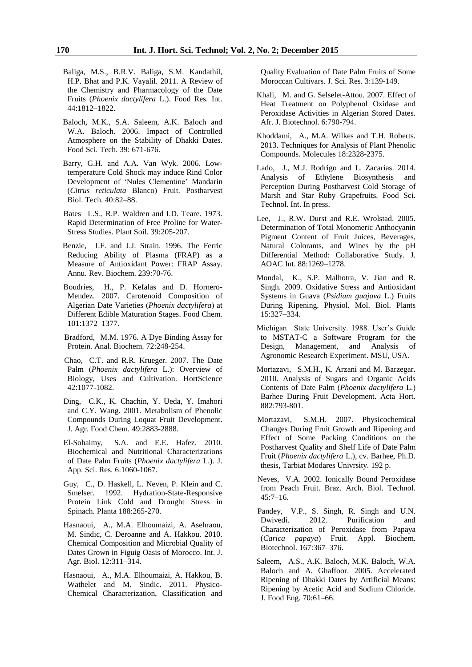- Baliga, M.S., B.R.V. Baliga, S.M. Kandathil, H.P. Bhat and P.K. Vayalil. 2011. A Review of the Chemistry and Pharmacology of the Date Fruits (*Phoenix dactylifera* L.). Food Res. Int. 44:1812–1822.
- Baloch, M.K., S.A. Saleem, A.K. Baloch and W.A. Baloch. 2006. Impact of Controlled Atmosphere on the Stability of Dhakki Dates. Food Sci. Tech. 39: 671-676.
- Barry, G.H. and A.A. Van Wyk. 2006. Lowtemperature Cold Shock may induce Rind Color Development of 'Nules Clementine' Mandarin (*Citrus reticulata* Blanco) Fruit. Postharvest Biol. Tech. 40:82–88.
- Bates L.S., R.P. Waldren and I.D. Teare. 1973. Rapid Determination of Free Proline for Water-Stress Studies. Plant Soil. 39:205-207.
- Benzie, I.F. and J.J. Strain. 1996. The Ferric Reducing Ability of Plasma (FRAP) as a Measure of Antioxidant Power: FRAP Assay. Annu. Rev. Biochem. 239:70-76.
- Boudries, H., P. Kefalas and D. Hornero-Mendez. 2007. Carotenoid Composition of Algerian Date Varieties (*Phoenix dactylifera*) at Different Edible Maturation Stages. Food Chem. 101:1372–1377.
- Bradford, M.M. 1976. A Dye Binding Assay for Protein. Anal. Biochem. 72:248-254.
- Chao, C.T. and R.R. Krueger. 2007. The Date Palm (*Phoenix dactylifera* L.): Overview of Biology, Uses and Cultivation. HortScience 42:1077-1082.
- Ding, C.K., K. Chachin, Y. Ueda, Y. Imahori and C.Y. Wang. 2001. Metabolism of Phenolic Compounds During Loquat Fruit Development. J. Agr. Food Chem. 49:2883-2888.
- El-Sohaimy, S.A. and E.E. Hafez. 2010. Biochemical and Nutritional Characterizations of Date Palm Fruits (*Phoenix dactylifera* L.). J. App. Sci. Res. 6:1060-1067.
- Guy, C., D. Haskell, L. Neven, P. Klein and C. Smelser. 1992. Hydration-State-Responsive Protein Link Cold and Drought Stress in Spinach. Planta 188:265-270.
- Hasnaoui, A., M.A. Elhoumaizi, A. Asehraou, M. Sindic, C. Deroanne and A. Hakkou. 2010. Chemical Composition and Microbial Quality of Dates Grown in Figuig Oasis of Morocco. Int. J. Agr. Biol. 12:311–314.
- Hasnaoui, A., M.A. Elhoumaizi, A. Hakkou, B. Wathelet and M. Sindic. 2011. Physico-Chemical Characterization, Classification and

Quality Evaluation of Date Palm Fruits of Some Moroccan Cultivars. J. Sci. Res. 3:139-149.

- Khali, M. and G. Selselet-Attou. 2007. Effect of Heat Treatment on Polyphenol Oxidase and Peroxidase Activities in Algerian Stored Dates. Afr. J. Biotechnol. 6:790-794.
- Khoddami, A., M.A. Wilkes and T.H. Roberts. 2013. Techniques for Analysis of Plant Phenolic Compounds. Molecules 18:2328-2375.
- Lado, J., M.J. Rodrigo and L. Zacarías. 2014. Analysis of Ethylene Biosynthesis and Perception During Postharvest Cold Storage of Marsh and Star Ruby Grapefruits. Food Sci. Technol. Int. In press.
- Lee, J., R.W. Durst and R.E. Wrolstad. 2005. Determination of Total Monomeric Anthocyanin Pigment Content of Fruit Juices, Beverages, Natural Colorants, and Wines by the pH Differential Method: Collaborative Study. J. AOAC Int. 88:1269–1278.
- Mondal, K., S.P. Malhotra, V. Jian and R. Singh. 2009. Oxidative Stress and Antioxidant Systems in Guava (*Psidium guajava* L.) Fruits During Ripening. Physiol. Mol. Biol. Plants 15:327–334.
- Michigan State University. 1988. User's Guide to MSTAT-C a Software Program for the Design, Management, and Analysis of Agronomic Research Experiment. MSU, USA.
- Mortazavi, S.M.H., K. Arzani and M. Barzegar. 2010. Analysis of Sugars and Organic Acids Contents of Date Palm (*Phoenix dactylifera* L.) Barhee During Fruit Development. Acta Hort. 882:793-801.
- Mortazavi, S.M.H. 2007. Physicochemical Changes During Fruit Growth and Ripening and Effect of Some Packing Conditions on the Postharvest Quality and Shelf Life of Date Palm Fruit (*Phoenix dactylifera* L.), cv. Barhee, Ph.D. thesis, Tarbiat Modares Univrsity. 192 p.
- Neves, V.A. 2002. Ionically Bound Peroxidase from Peach Fruit. Braz. Arch. Biol. Technol*.* 45:7–16.
- Pandey, V.P., S. Singh, R. Singh and U.N. Dwivedi. 2012. Purification and Characterization of Peroxidase from Papaya (*Carica papaya*) Fruit. Appl. Biochem. Biotechnol. 167:367–376.
- Saleem, A.S., A.K. Baloch, M.K. Baloch, W.A. Baloch and A. Ghaffoor. 2005. Accelerated Ripening of Dhakki Dates by Artificial Means: Ripening by Acetic Acid and Sodium Chloride. J. Food Eng. 70:61–66.